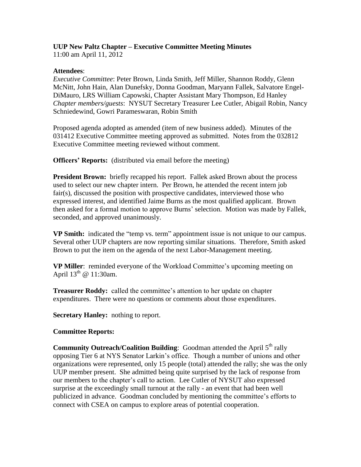# **UUP New Paltz Chapter – Executive Committee Meeting Minutes**

11:00 am April 11, 2012

### **Attendees**:

*Executive Committee*: Peter Brown, Linda Smith, Jeff Miller, Shannon Roddy, Glenn McNitt, John Hain, Alan Dunefsky, Donna Goodman, Maryann Fallek, Salvatore Engel-DiMauro, LRS William Capowski, Chapter Assistant Mary Thompson, Ed Hanley *Chapter members/guests*: NYSUT Secretary Treasurer Lee Cutler, Abigail Robin, Nancy Schniedewind, Gowri Parameswaran, Robin Smith

Proposed agenda adopted as amended (item of new business added). Minutes of the 031412 Executive Committee meeting approved as submitted. Notes from the 032812 Executive Committee meeting reviewed without comment.

**Officers' Reports:** (distributed via email before the meeting)

**President Brown:** briefly recapped his report. Fallek asked Brown about the process used to select our new chapter intern. Per Brown, he attended the recent intern job fair(s), discussed the position with prospective candidates, interviewed those who expressed interest, and identified Jaime Burns as the most qualified applicant. Brown then asked for a formal motion to approve Burns' selection. Motion was made by Fallek, seconded, and approved unanimously.

**VP Smith:** indicated the "temp vs. term" appointment issue is not unique to our campus. Several other UUP chapters are now reporting similar situations. Therefore, Smith asked Brown to put the item on the agenda of the next Labor-Management meeting.

**VP Miller**: reminded everyone of the Workload Committee's upcoming meeting on April  $13^{th}$  @ 11:30am.

**Treasurer Roddy:** called the committee's attention to her update on chapter expenditures. There were no questions or comments about those expenditures.

**Secretary Hanley:** nothing to report.

### **Committee Reports:**

**Community Outreach/Coalition Building:** Goodman attended the April 5<sup>th</sup> rally opposing Tier 6 at NYS Senator Larkin's office. Though a number of unions and other organizations were represented, only 15 people (total) attended the rally; she was the only UUP member present. She admitted being quite surprised by the lack of response from our members to the chapter's call to action. Lee Cutler of NYSUT also expressed surprise at the exceedingly small turnout at the rally - an event that had been well publicized in advance. Goodman concluded by mentioning the committee's efforts to connect with CSEA on campus to explore areas of potential cooperation.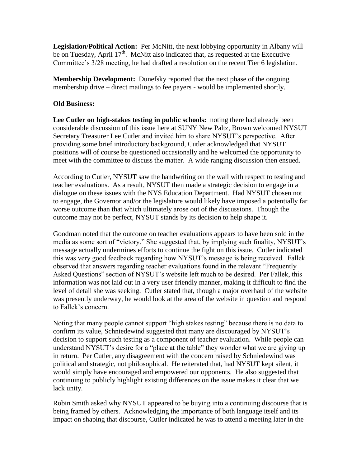**Legislation/Political Action:** Per McNitt, the next lobbying opportunity in Albany will be on Tuesday, April 17<sup>th</sup>. McNitt also indicated that, as requested at the Executive Committee's 3/28 meeting, he had drafted a resolution on the recent Tier 6 legislation.

**Membership Development:** Dunefsky reported that the next phase of the ongoing membership drive – direct mailings to fee payers - would be implemented shortly.

## **Old Business:**

**Lee Cutler on high-stakes testing in public schools:** noting there had already been considerable discussion of this issue here at SUNY New Paltz, Brown welcomed NYSUT Secretary Treasurer Lee Cutler and invited him to share NYSUT's perspective. After providing some brief introductory background, Cutler acknowledged that NYSUT positions will of course be questioned occasionally and he welcomed the opportunity to meet with the committee to discuss the matter. A wide ranging discussion then ensued.

According to Cutler, NYSUT saw the handwriting on the wall with respect to testing and teacher evaluations. As a result, NYSUT then made a strategic decision to engage in a dialogue on these issues with the NYS Education Department. Had NYSUT chosen not to engage, the Governor and/or the legislature would likely have imposed a potentially far worse outcome than that which ultimately arose out of the discussions. Though the outcome may not be perfect, NYSUT stands by its decision to help shape it.

Goodman noted that the outcome on teacher evaluations appears to have been sold in the media as some sort of "victory." She suggested that, by implying such finality, NYSUT's message actually undermines efforts to continue the fight on this issue. Cutler indicated this was very good feedback regarding how NYSUT's message is being received. Fallek observed that answers regarding teacher evaluations found in the relevant "Frequently Asked Questions" section of NYSUT's website left much to be desired. Per Fallek, this information was not laid out in a very user friendly manner, making it difficult to find the level of detail she was seeking. Cutler stated that, though a major overhaul of the website was presently underway, he would look at the area of the website in question and respond to Fallek's concern.

Noting that many people cannot support "high stakes testing" because there is no data to confirm its value, Schniedewind suggested that many are discouraged by NYSUT's decision to support such testing as a component of teacher evaluation. While people can understand NYSUT's desire for a "place at the table" they wonder what we are giving up in return. Per Cutler, any disagreement with the concern raised by Schniedewind was political and strategic, not philosophical. He reiterated that, had NYSUT kept silent, it would simply have encouraged and empowered our opponents. He also suggested that continuing to publicly highlight existing differences on the issue makes it clear that we lack unity.

Robin Smith asked why NYSUT appeared to be buying into a continuing discourse that is being framed by others. Acknowledging the importance of both language itself and its impact on shaping that discourse, Cutler indicated he was to attend a meeting later in the